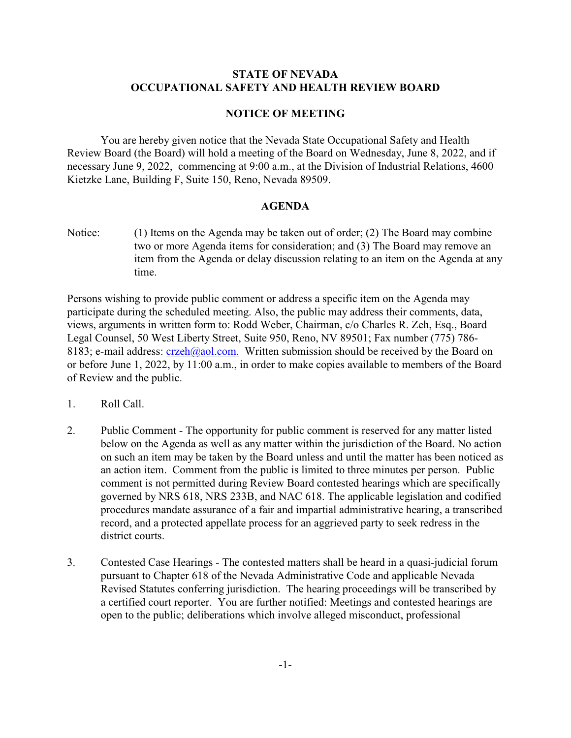## **STATE OF NEVADA OCCUPATIONAL SAFETY AND HEALTH REVIEW BOARD**

## **NOTICE OF MEETING**

You are hereby given notice that the Nevada State Occupational Safety and Health Review Board (the Board) will hold a meeting of the Board on Wednesday, June 8, 2022, and if necessary June 9, 2022, commencing at 9:00 a.m., at the Division of Industrial Relations, 4600 Kietzke Lane, Building F, Suite 150, Reno, Nevada 89509.

## **AGENDA**

Notice: (1) Items on the Agenda may be taken out of order; (2) The Board may combine two or more Agenda items for consideration; and (3) The Board may remove an item from the Agenda or delay discussion relating to an item on the Agenda at any time.

Persons wishing to provide public comment or address a specific item on the Agenda may participate during the scheduled meeting. Also, the public may address their comments, data, views, arguments in written form to: Rodd Weber, Chairman, c/o Charles R. Zeh, Esq., Board Legal Counsel, 50 West Liberty Street, Suite 950, Reno, NV 89501; Fax number (775) 786- 8183; e-mail address:  $crzeh$  (@aol.com. Written submission should be received by the Board on or before June 1, 2022, by 11:00 a.m., in order to make copies available to members of the Board of Review and the public.

- 1. Roll Call.
- 2. Public Comment The opportunity for public comment is reserved for any matter listed below on the Agenda as well as any matter within the jurisdiction of the Board. No action on such an item may be taken by the Board unless and until the matter has been noticed as an action item. Comment from the public is limited to three minutes per person. Public comment is not permitted during Review Board contested hearings which are specifically governed by NRS 618, NRS 233B, and NAC 618. The applicable legislation and codified procedures mandate assurance of a fair and impartial administrative hearing, a transcribed record, and a protected appellate process for an aggrieved party to seek redress in the district courts.
- 3. Contested Case Hearings The contested matters shall be heard in a quasi-judicial forum pursuant to Chapter 618 of the Nevada Administrative Code and applicable Nevada Revised Statutes conferring jurisdiction. The hearing proceedings will be transcribed by a certified court reporter. You are further notified: Meetings and contested hearings are open to the public; deliberations which involve alleged misconduct, professional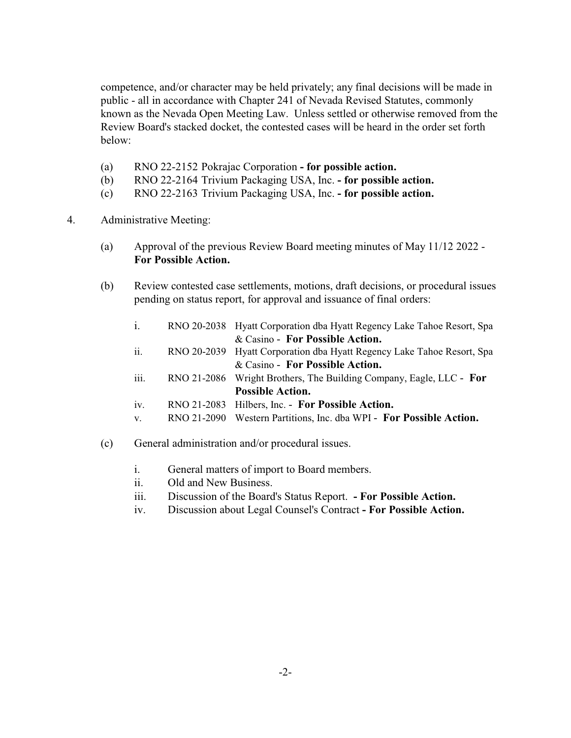competence, and/or character may be held privately; any final decisions will be made in public - all in accordance with Chapter 241 of Nevada Revised Statutes, commonly known as the Nevada Open Meeting Law. Unless settled or otherwise removed from the Review Board's stacked docket, the contested cases will be heard in the order set forth below:

- (a) RNO 22-2152 Pokrajac Corporation  **for possible action.**
- (b) RNO 22-2164 Trivium Packaging USA, Inc.  **for possible action.**
- (c) RNO 22-2163 Trivium Packaging USA, Inc.  **for possible action.**
- 4. Administrative Meeting:
	- (a) Approval of the previous Review Board meeting minutes of May 11/12 2022 **For Possible Action.**
	- (b) Review contested case settlements, motions, draft decisions, or procedural issues pending on status report, for approval and issuance of final orders:
		- i. RNO 20-2038 Hyatt Corporation dba Hyatt Regency Lake Tahoe Resort, Spa & Casino - **For Possible Action.**
		- ii. RNO 20-2039 Hyatt Corporation dba Hyatt Regency Lake Tahoe Resort, Spa & Casino - **For Possible Action.**
		- iii. RNO 21-2086 Wright Brothers, The Building Company, Eagle, LLC **For Possible Action.**
		- iv. RNO 21-2083 Hilbers, Inc. **For Possible Action.**
		- v. RNO 21-2090 Western Partitions, Inc. dba WPI **For Possible Action.**
	- (c) General administration and/or procedural issues.
		- i. General matters of import to Board members.
		- ii. Old and New Business.
		- iii. Discussion of the Board's Status Report.  **For Possible Action.**
		- iv. Discussion about Legal Counsel's Contract  **For Possible Action.**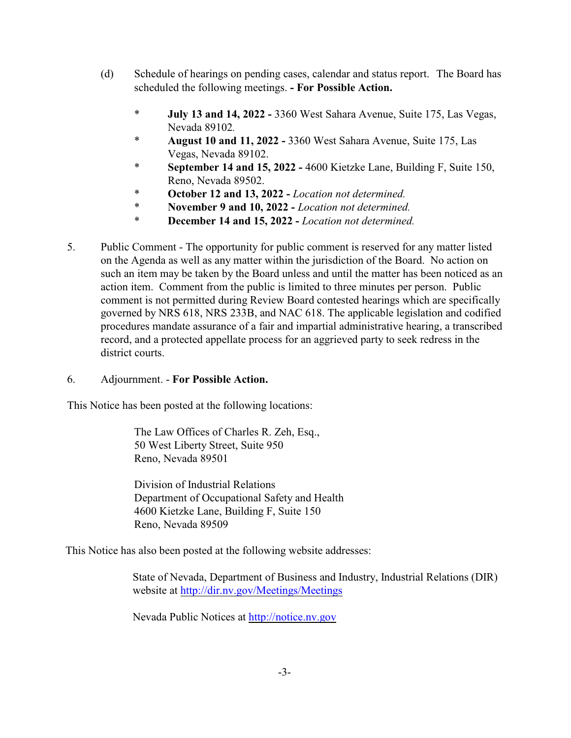- (d) Schedule of hearings on pending cases, calendar and status report. The Board has scheduled the following meetings. **- For Possible Action.** 
	- **July 13 and 14, 2022 3360 West Sahara Avenue, Suite 175, Las Vegas,** Nevada 89102*.*
	- \* **August 10 and 11, 2022** 3360 West Sahara Avenue, Suite 175, Las Vegas, Nevada 89102.
	- \* **September 14 and 15, 2022** 4600 Kietzke Lane, Building F, Suite 150, Reno, Nevada 89502.
	- \* **October 12 and 13, 2022** *Location not determined.*
	- \* **November 9 and 10, 2022** *Location not determined.*
	- \* **December 14 and 15, 2022** *Location not determined.*
- 5. Public Comment The opportunity for public comment is reserved for any matter listed on the Agenda as well as any matter within the jurisdiction of the Board. No action on such an item may be taken by the Board unless and until the matter has been noticed as an action item. Comment from the public is limited to three minutes per person. Public comment is not permitted during Review Board contested hearings which are specifically governed by NRS 618, NRS 233B, and NAC 618. The applicable legislation and codified procedures mandate assurance of a fair and impartial administrative hearing, a transcribed record, and a protected appellate process for an aggrieved party to seek redress in the district courts.

## 6. Adjournment. - **For Possible Action.**

This Notice has been posted at the following locations:

The Law Offices of Charles R. Zeh, Esq., 50 West Liberty Street, Suite 950 Reno, Nevada 89501

Division of Industrial Relations Department of Occupational Safety and Health 4600 Kietzke Lane, Building F, Suite 150 Reno, Nevada 89509

This Notice has also been posted at the following website addresses:

State of Nevada, Department of Business and Industry, Industrial Relations (DIR) website at<http://dir.nv.gov/Meetings/Meetings>

Nevada Public Notices at<http://notice.nv.gov>